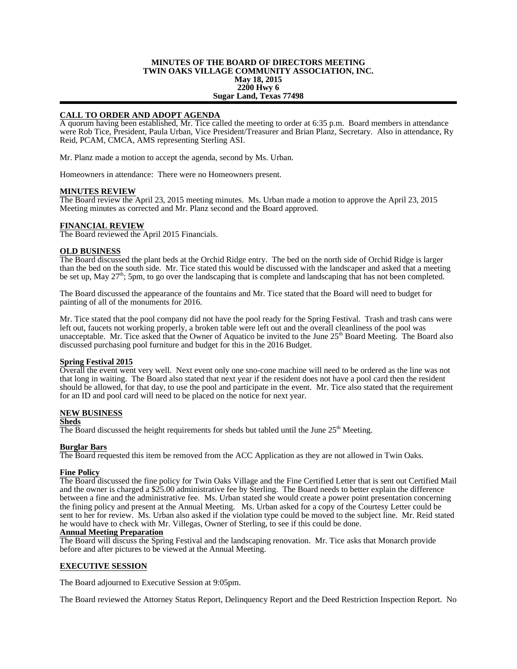#### **MINUTES OF THE BOARD OF DIRECTORS MEETING TWIN OAKS VILLAGE COMMUNITY ASSOCIATION, INC. May 18, 2015 2200 Hwy 6 Sugar Land, Texas 77498**

# **CALL TO ORDER AND ADOPT AGENDA**

A quorum having been established, Mr. Tice called the meeting to order at 6:35 p.m. Board members in attendance were Rob Tice, President, Paula Urban, Vice President/Treasurer and Brian Planz, Secretary. Also in attendance, Ry Reid, PCAM, CMCA, AMS representing Sterling ASI.

Mr. Planz made a motion to accept the agenda, second by Ms. Urban.

Homeowners in attendance: There were no Homeowners present.

#### **MINUTES REVIEW**

The Board review the April 23, 2015 meeting minutes. Ms. Urban made a motion to approve the April 23, 2015 Meeting minutes as corrected and Mr. Planz second and the Board approved.

# **FINANCIAL REVIEW**

The Board reviewed the April 2015 Financials.

# **OLD BUSINESS**

The Board discussed the plant beds at the Orchid Ridge entry. The bed on the north side of Orchid Ridge is larger than the bed on the south side. Mr. Tice stated this would be discussed with the landscaper and asked that a meeting be set up, May 27<sup>th</sup>; 5pm, to go over the landscaping that is complete and landscaping that has not been completed.

The Board discussed the appearance of the fountains and Mr. Tice stated that the Board will need to budget for painting of all of the monuments for 2016.

Mr. Tice stated that the pool company did not have the pool ready for the Spring Festival. Trash and trash cans were left out, faucets not working properly, a broken table were left out and the overall cleanliness of the pool was unacceptable. Mr. Tice asked that the Owner of Aquatico be invited to the June  $25<sup>th</sup>$  Board Meeting. The Board also discussed purchasing pool furniture and budget for this in the 2016 Budget.

# **Spring Festival 2015**

Overall the event went very well. Next event only one sno-cone machine will need to be ordered as the line was not that long in waiting. The Board also stated that next year if the resident does not have a pool card then the resident should be allowed, for that day, to use the pool and participate in the event. Mr. Tice also stated that the requirement for an ID and pool card will need to be placed on the notice for next year.

# **NEW BUSINESS**

#### **Sheds**

The Board discussed the height requirements for sheds but tabled until the June  $25<sup>th</sup>$  Meeting.

# **Burglar Bars**

The Board requested this item be removed from the ACC Application as they are not allowed in Twin Oaks.

# **Fine Policy**

The Board discussed the fine policy for Twin Oaks Village and the Fine Certified Letter that is sent out Certified Mail and the owner is charged a \$25.00 administrative fee by Sterling. The Board needs to better explain the difference between a fine and the administrative fee. Ms. Urban stated she would create a power point presentation concerning the fining policy and present at the Annual Meeting. Ms. Urban asked for a copy of the Courtesy Letter could be sent to her for review. Ms. Urban also asked if the violation type could be moved to the subject line. Mr. Reid stated he would have to check with Mr. Villegas, Owner of Sterling, to see if this could be done.

#### **Annual Meeting Preparation**

The Board will discuss the Spring Festival and the landscaping renovation. Mr. Tice asks that Monarch provide before and after pictures to be viewed at the Annual Meeting.

# **EXECUTIVE SESSION**

The Board adjourned to Executive Session at 9:05pm.

The Board reviewed the Attorney Status Report, Delinquency Report and the Deed Restriction Inspection Report. No